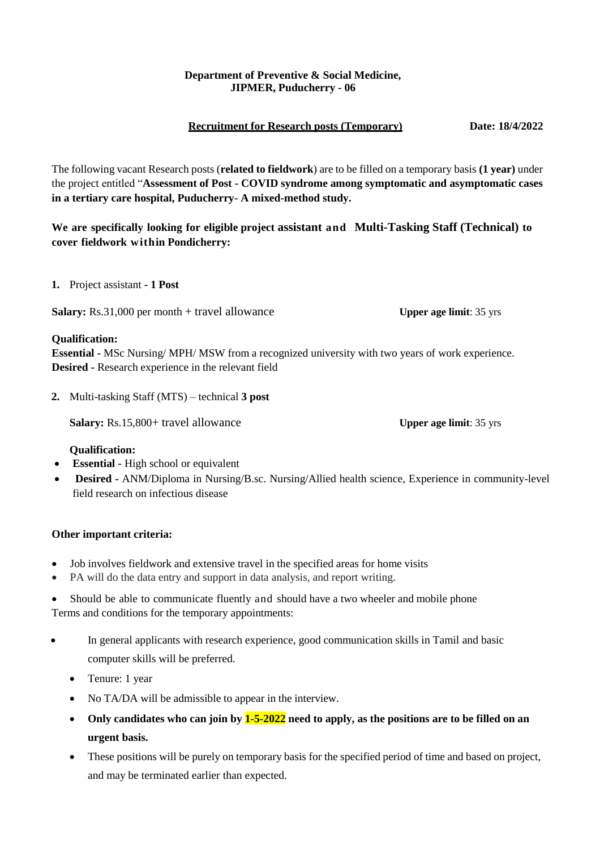## **Department of Preventive & Social Medicine, JIPMER, Puducherry - 06**

## **Recruitment for Research posts (Temporary) Date: 18/4/2022**

The following vacant Research posts (**related to fieldwork**) are to be filled on a temporary basis **(1 year)** under the project entitled "**Assessment of Post - COVID syndrome among symptomatic and asymptomatic cases in a tertiary care hospital, Puducherry- A mixed-method study.**

**We are specifically looking for eligible project assistant and Multi-Tasking Staff (Technical) to cover fieldwork within Pondicherry:**

**1.** Project assistant **- 1 Post**

**Salary:** Rs.31,000 per month + travel allowance **Upper age limit**: 35 yrs

### **Qualification:**

**Essential -** MSc Nursing/ MPH/ MSW from a recognized university with two years of work experience. **Desired -** Research experience in the relevant field

**2.** Multi-tasking Staff (MTS) – technical **3 post**

**Salary:** Rs.15,800+ travel allowance **Upper age limit**: 35 yrs

## **Qualification:**

- **Essential -** High school or equivalent
- **Desired -** ANM/Diploma in Nursing/B.sc. Nursing/Allied health science, Experience in community-level field research on infectious disease

## **Other important criteria:**

- Job involves fieldwork and extensive travel in the specified areas for home visits
- PA will do the data entry and support in data analysis, and report writing.
- Should be able to communicate fluently and should have a two wheeler and mobile phone Terms and conditions for the temporary appointments:
- In general applicants with research experience, good communication skills in Tamil and basic computer skills will be preferred.
	- Tenure: 1 year
	- No TA/DA will be admissible to appear in the interview.
	- **Only candidates who can join by 1-5-2022 need to apply, as the positions are to be filled on an urgent basis.**
	- These positions will be purely on temporary basis for the specified period of time and based on project, and may be terminated earlier than expected.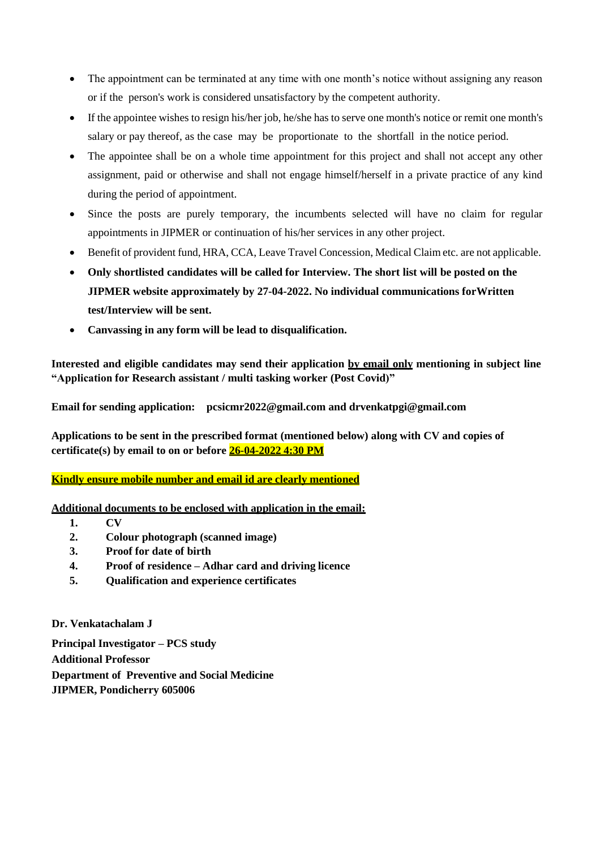- The appointment can be terminated at any time with one month's notice without assigning any reason or if the person's work is considered unsatisfactory by the competent authority.
- If the appointee wishes to resign his/her job, he/she has to serve one month's notice or remit one month's salary or pay thereof, as the case may be proportionate to the shortfall in the notice period.
- The appointee shall be on a whole time appointment for this project and shall not accept any other assignment, paid or otherwise and shall not engage himself/herself in a private practice of any kind during the period of appointment.
- Since the posts are purely temporary, the incumbents selected will have no claim for regular appointments in JIPMER or continuation of his/her services in any other project.
- Benefit of provident fund, HRA, CCA, Leave Travel Concession, Medical Claim etc. are not applicable.
- **Only shortlisted candidates will be called for Interview. The short list will be posted on the JIPMER website approximately by 27-04-2022. No individual communications forWritten test/Interview will be sent.**
- **Canvassing in any form will be lead to disqualification.**

**Interested and eligible candidates may send their application by email only mentioning in subject line "Application for Research assistant / multi tasking worker (Post Covid)"**

**Email for sending application: pcsicmr202[2@gmail.com](mailto:neonatologyjipmer@gmail.com) and drvenkatpgi@gmail.com**

**Applications to be sent in the prescribed format (mentioned below) along with CV and copies of certificate(s) by email to on or before 26-04-2022 4:30 PM**

## **Kindly ensure mobile number and email id are clearly mentioned**

**Additional documents to be enclosed with application in the email:**

- **1. CV**
- **2. Colour photograph (scanned image)**
- **3. Proof for date of birth**
- **4. Proof of residence – Adhar card and driving licence**
- **5. Qualification and experience certificates**

**Dr. Venkatachalam J**

**Principal Investigator – PCS study Additional Professor Department of Preventive and Social Medicine JIPMER, Pondicherry 605006**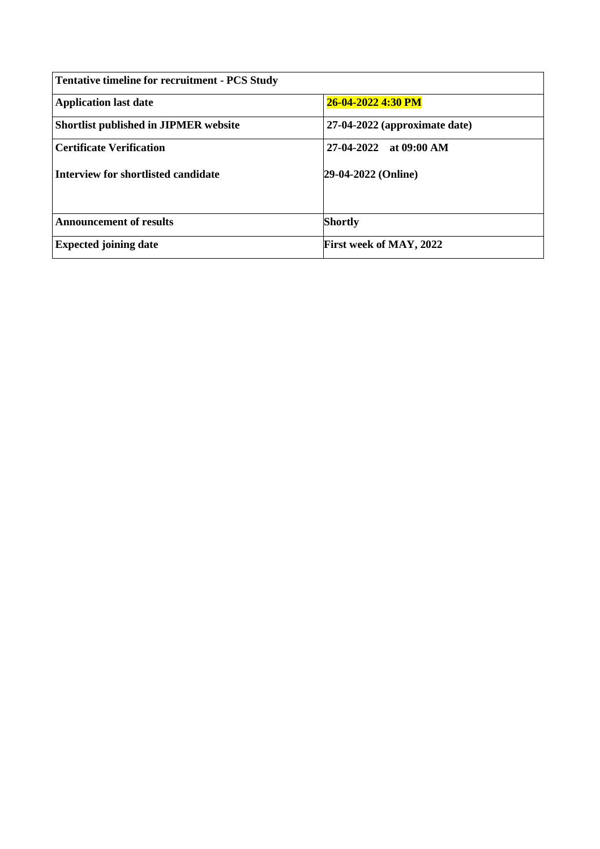| <b>Tentative timeline for recruitment - PCS Study</b> |                               |  |  |  |
|-------------------------------------------------------|-------------------------------|--|--|--|
| <b>Application last date</b>                          | 26-04-2022 4:30 PM            |  |  |  |
| <b>Shortlist published in JIPMER website</b>          | 27-04-2022 (approximate date) |  |  |  |
| <b>Certificate Verification</b>                       | $27-04-2022$ at 09:00 AM      |  |  |  |
| Interview for shortlisted candidate                   | 29-04-2022 (Online)           |  |  |  |
| <b>Announcement of results</b>                        | <b>Shortly</b>                |  |  |  |
| <b>Expected joining date</b>                          | First week of MAY, 2022       |  |  |  |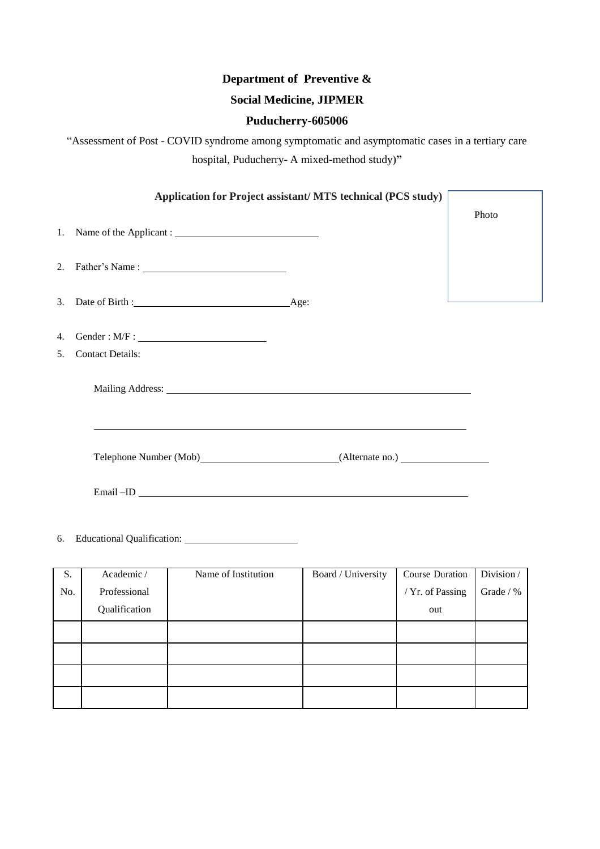# **Department of Preventive &**

# **Social Medicine, JIPMER**

## **Puducherry-605006**

"Assessment of Post - COVID syndrome among symptomatic and asymptomatic cases in a tertiary care hospital, Puducherry- A mixed-method study**)"**

| Application for Project assistant/ MTS technical (PCS study) |                                                            |       |  |  |
|--------------------------------------------------------------|------------------------------------------------------------|-------|--|--|
|                                                              |                                                            | Photo |  |  |
|                                                              | 2. Father's Name : $\frac{1}{2}$                           |       |  |  |
|                                                              |                                                            |       |  |  |
| 4.                                                           |                                                            |       |  |  |
| 5.                                                           | <b>Contact Details:</b>                                    |       |  |  |
|                                                              | <u> 1989 - Johann Stoff, amerikansk politiker (* 1908)</u> |       |  |  |
|                                                              | Telephone Number (Mob) (Alternate no.)                     |       |  |  |
|                                                              |                                                            |       |  |  |
|                                                              |                                                            |       |  |  |

| S.  | Academic/     | Name of Institution | Board / University | Course Duration  | Division/ |
|-----|---------------|---------------------|--------------------|------------------|-----------|
| No. | Professional  |                     |                    | / Yr. of Passing | Grade / % |
|     | Qualification |                     |                    | out              |           |
|     |               |                     |                    |                  |           |
|     |               |                     |                    |                  |           |
|     |               |                     |                    |                  |           |
|     |               |                     |                    |                  |           |